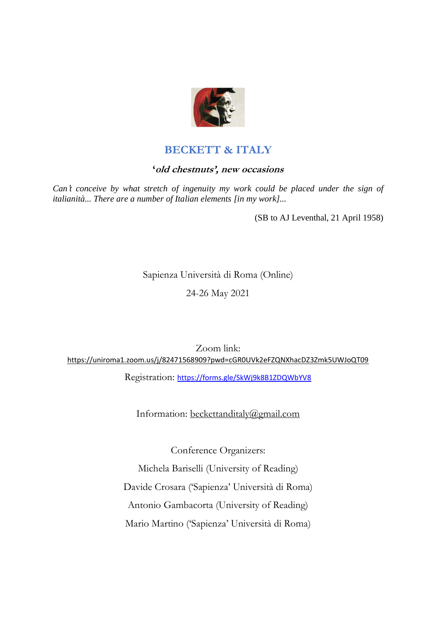

# **BECKETT & ITALY**

# **'old chestnuts', new occasions**

*Can*'*t conceive by what stretch of ingenuity my work could be placed under the sign of italianità... There are a number of Italian elements [in my work]...*

(SB to AJ Leventhal, 21 April 1958)

Sapienza Università di Roma (Online) 24-26 May 2021

Zoom link: <https://uniroma1.zoom.us/j/82471568909?pwd=cGR0UVk2eFZQNXhacDZ3Zmk5UWJoQT09>

Registration: https://forms.gle/SkWj9k8B1ZDQWbYV8

Information: [beckettanditaly@gmail.com](mailto:beckettanditaly@gmail.com)

Conference Organizers:

Michela Bariselli (University of Reading) Davide Crosara ('Sapienza' Università di Roma) Antonio Gambacorta (University of Reading) Mario Martino ('Sapienza' Università di Roma)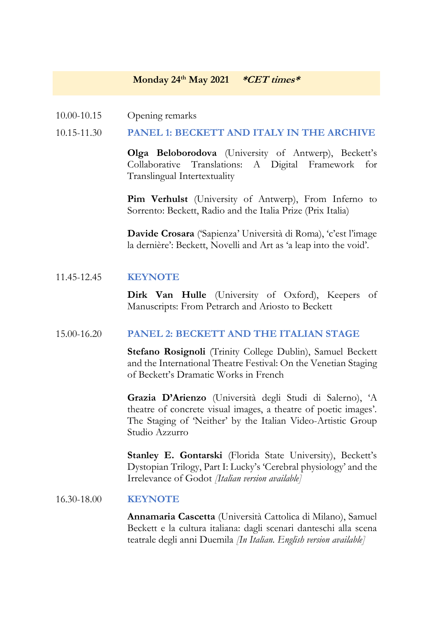## **Monday 24th May 2021 \*CET times\***

10.00-10.15 Opening remarks

#### 10.15-11.30 **PANEL 1: BECKETT AND ITALY IN THE ARCHIVE**

**Olga Beloborodova** (University of Antwerp), Beckett's Collaborative Translations: A Digital Framework for Translingual Intertextuality

**Pim Verhulst** (University of Antwerp), From Inferno to Sorrento: Beckett, Radio and the Italia Prize (Prix Italia)

**Davide Crosara** ('Sapienza' Università di Roma), 'c'est l'image la dernière': Beckett, Novelli and Art as 'a leap into the void'.

#### 11.45-12.45 **KEYNOTE**

**Dirk Van Hulle** (University of Oxford), Keepers of Manuscripts: From Petrarch and Ariosto to Beckett

#### 15.00-16.20 **PANEL 2: BECKETT AND THE ITALIAN STAGE**

**Stefano Rosignoli** (Trinity College Dublin), Samuel Beckett and the International Theatre Festival: On the Venetian Staging of Beckett's Dramatic Works in French

**Grazia D'Arienzo** (Università degli Studi di Salerno), 'A theatre of concrete visual images, a theatre of poetic images'. The Staging of 'Neither' by the Italian Video-Artistic Group Studio Azzurro

**Stanley E. Gontarski** (Florida State University), Beckett's Dystopian Trilogy, Part I: Lucky's 'Cerebral physiology' and the Irrelevance of Godot *[Italian version available]*

#### 16.30-18.00 **KEYNOTE**

**Annamaria Cascetta** (Università Cattolica di Milano), Samuel Beckett e la cultura italiana: dagli scenari danteschi alla scena teatrale degli anni Duemila *[In Italian. English version available]*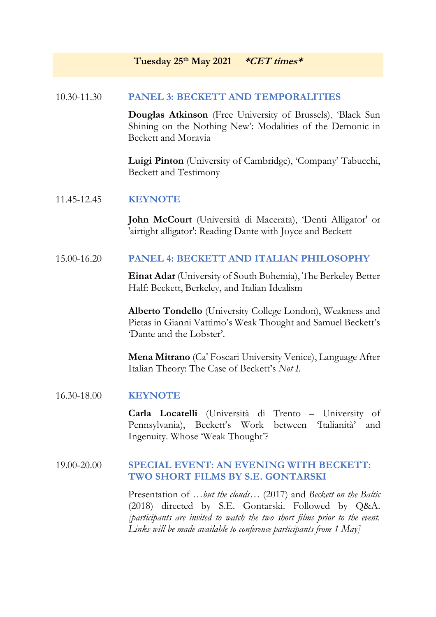# **Tuesday 25th May 2021 \*CET times\***

# 10.30-11.30 **PANEL 3: BECKETT AND TEMPORALITIES**

**Douglas Atkinson** (Free University of Brussels), 'Black Sun Shining on the Nothing New': Modalities of the Demonic in Beckett and Moravia

**Luigi Pinton** (University of Cambridge), 'Company' Tabucchi, Beckett and Testimony

## 11.45-12.45 **KEYNOTE**

**John McCourt** (Università di Macerata), 'Denti Alligator' or 'airtight alligator': Reading Dante with Joyce and Beckett

## 15.00-16.20 **PANEL 4: BECKETT AND ITALIAN PHILOSOPHY**

**Einat Adar** (University of South Bohemia), The Berkeley Better Half: Beckett, Berkeley, and Italian Idealism

**Alberto Tondello** (University College London), Weakness and Pietas in Gianni Vattimo's Weak Thought and Samuel Beckett's 'Dante and the Lobster'.

**Mena Mitrano** (Ca' Foscari University Venice), Language After Italian Theory: The Case of Beckett's *Not I*.

#### 16.30-18.00 **KEYNOTE**

**Carla Locatelli** (Università di Trento – University of Pennsylvania), Beckett's Work between 'Italianità' and Ingenuity. Whose 'Weak Thought'?

# 19.00-20.00 **SPECIAL EVENT: AN EVENING WITH BECKETT: TWO SHORT FILMS BY S.E. GONTARSKI**

Presentation of …*but the clouds*… (2017) and *Beckett on the Baltic* (2018) directed by S.E. Gontarski. Followed by Q&A. *[participants are invited to watch the two short films prior to the event. Links will be made available to conference participants from 1 May]*